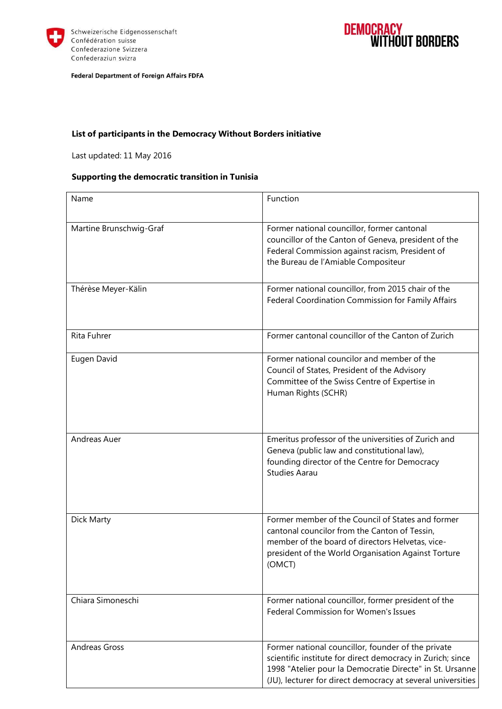



Federal Department of Foreign Affairs FDFA

### **List of participants in the Democracy Without Borders initiative**

Last updated: 11 May 2016

### **Supporting the democratic transition in Tunisia**

| Name                    | Function                                                                                                                                                                                                                                    |
|-------------------------|---------------------------------------------------------------------------------------------------------------------------------------------------------------------------------------------------------------------------------------------|
| Martine Brunschwig-Graf | Former national councillor, former cantonal<br>councillor of the Canton of Geneva, president of the<br>Federal Commission against racism, President of<br>the Bureau de l'Amiable Compositeur                                               |
| Thérèse Meyer-Kälin     | Former national councillor, from 2015 chair of the<br>Federal Coordination Commission for Family Affairs                                                                                                                                    |
| Rita Fuhrer             | Former cantonal councillor of the Canton of Zurich                                                                                                                                                                                          |
| Eugen David             | Former national councilor and member of the<br>Council of States, President of the Advisory<br>Committee of the Swiss Centre of Expertise in<br>Human Rights (SCHR)                                                                         |
| Andreas Auer            | Emeritus professor of the universities of Zurich and<br>Geneva (public law and constitutional law),<br>founding director of the Centre for Democracy<br><b>Studies Aarau</b>                                                                |
| Dick Marty              | Former member of the Council of States and former<br>cantonal councilor from the Canton of Tessin,<br>member of the board of directors Helvetas, vice-<br>president of the World Organisation Against Torture<br>(OMCT)                     |
| Chiara Simoneschi       | Former national councillor, former president of the<br>Federal Commission for Women's Issues                                                                                                                                                |
| <b>Andreas Gross</b>    | Former national councillor, founder of the private<br>scientific institute for direct democracy in Zurich; since<br>1998 "Atelier pour la Democratie Directe" in St. Ursanne<br>(JU), lecturer for direct democracy at several universities |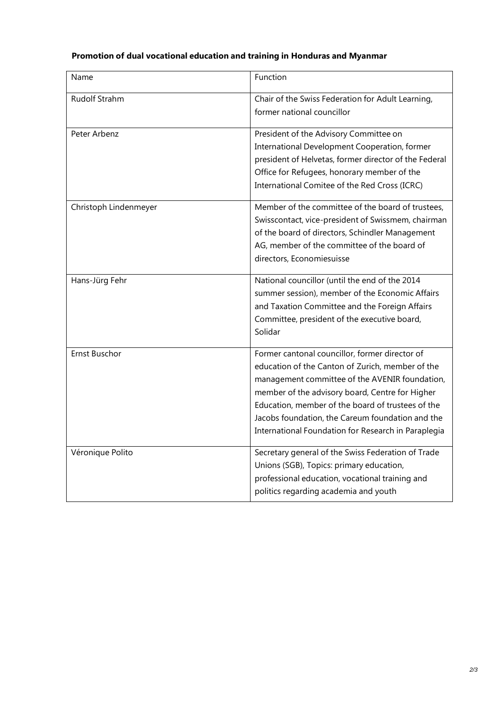# **Promotion of dual vocational education and training in Honduras and Myanmar**

| Name                  | Function                                                                                                                                                                                                                                                                                                                                                                |
|-----------------------|-------------------------------------------------------------------------------------------------------------------------------------------------------------------------------------------------------------------------------------------------------------------------------------------------------------------------------------------------------------------------|
| Rudolf Strahm         | Chair of the Swiss Federation for Adult Learning,<br>former national councillor                                                                                                                                                                                                                                                                                         |
| Peter Arbenz          | President of the Advisory Committee on<br>International Development Cooperation, former<br>president of Helvetas, former director of the Federal<br>Office for Refugees, honorary member of the<br>International Comitee of the Red Cross (ICRC)                                                                                                                        |
| Christoph Lindenmeyer | Member of the committee of the board of trustees,<br>Swisscontact, vice-president of Swissmem, chairman<br>of the board of directors, Schindler Management<br>AG, member of the committee of the board of<br>directors, Economiesuisse                                                                                                                                  |
| Hans-Jürg Fehr        | National councillor (until the end of the 2014<br>summer session), member of the Economic Affairs<br>and Taxation Committee and the Foreign Affairs<br>Committee, president of the executive board,<br>Solidar                                                                                                                                                          |
| <b>Ernst Buschor</b>  | Former cantonal councillor, former director of<br>education of the Canton of Zurich, member of the<br>management committee of the AVENIR foundation,<br>member of the advisory board, Centre for Higher<br>Education, member of the board of trustees of the<br>Jacobs foundation, the Careum foundation and the<br>International Foundation for Research in Paraplegia |
| Véronique Polito      | Secretary general of the Swiss Federation of Trade<br>Unions (SGB), Topics: primary education,<br>professional education, vocational training and<br>politics regarding academia and youth                                                                                                                                                                              |